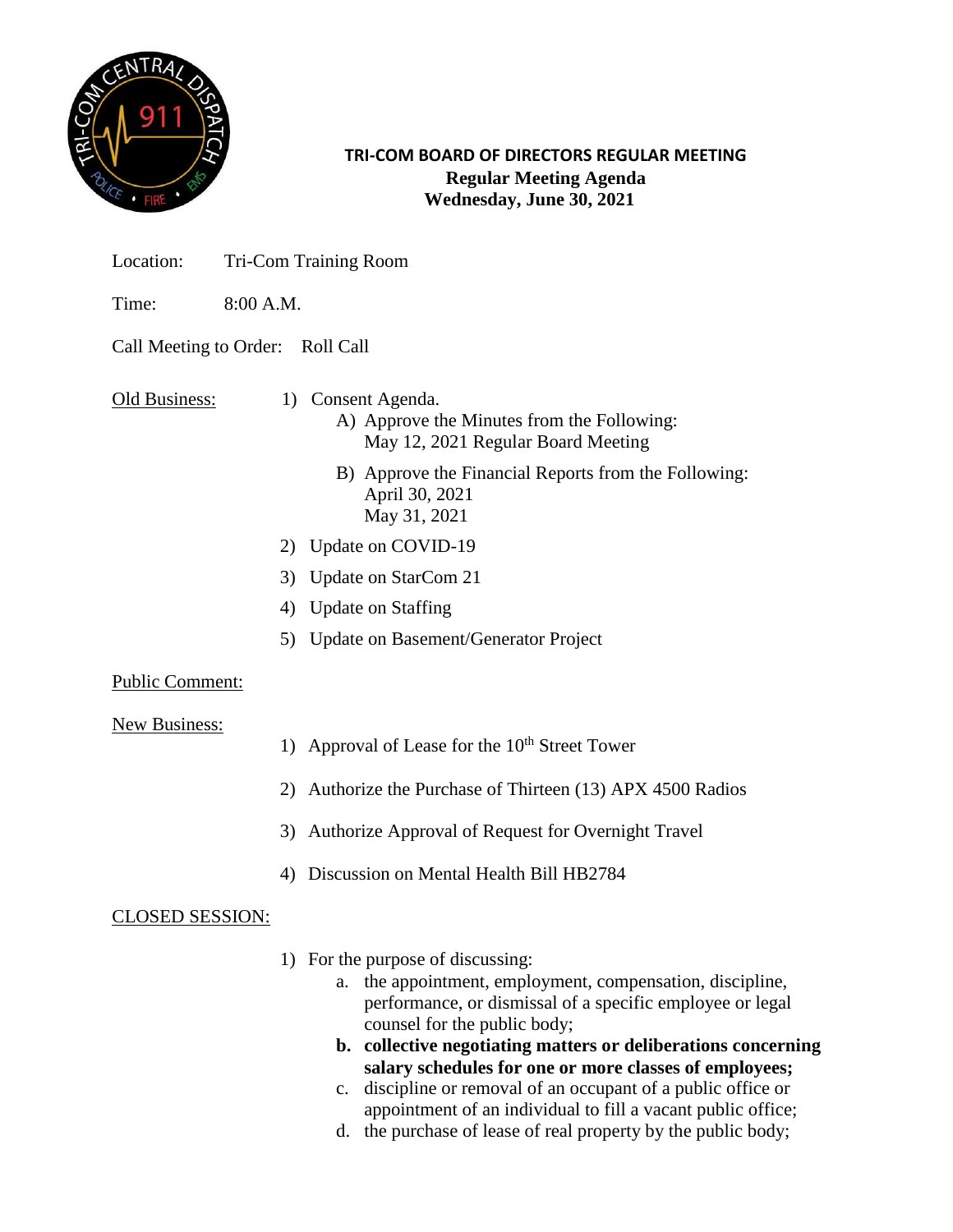

**TRI-COM BOARD OF DIRECTORS REGULAR MEETING Regular Meeting Agenda Wednesday, June 30, 2021**

- Location: Tri-Com Training Room
- Time: 8:00 A.M.

## Call Meeting to Order: Roll Call

- Old Business: 1) Consent Agenda.
	- A) Approve the Minutes from the Following: May 12, 2021 Regular Board Meeting
	- B) Approve the Financial Reports from the Following: April 30, 2021 May 31, 2021
	- 2) Update on COVID-19
	- 3) Update on StarCom 21
	- 4) Update on Staffing
	- 5) Update on Basement/Generator Project

## Public Comment:

#### New Business:

- 1) Approval of Lease for the  $10<sup>th</sup>$  Street Tower
- 2) Authorize the Purchase of Thirteen (13) APX 4500 Radios
- 3) Authorize Approval of Request for Overnight Travel
- 4) Discussion on Mental Health Bill HB2784

## CLOSED SESSION:

- 1) For the purpose of discussing:
	- a. the appointment, employment, compensation, discipline, performance, or dismissal of a specific employee or legal counsel for the public body;
	- **b. collective negotiating matters or deliberations concerning salary schedules for one or more classes of employees;**
	- c. discipline or removal of an occupant of a public office or appointment of an individual to fill a vacant public office;
	- d. the purchase of lease of real property by the public body;